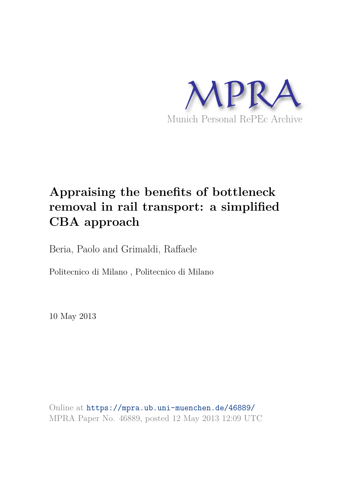

# **Appraising the benefits of bottleneck removal in rail transport: a simplified CBA approach**

Beria, Paolo and Grimaldi, Raffaele

Politecnico di Milano , Politecnico di Milano

10 May 2013

Online at https://mpra.ub.uni-muenchen.de/46889/ MPRA Paper No. 46889, posted 12 May 2013 12:09 UTC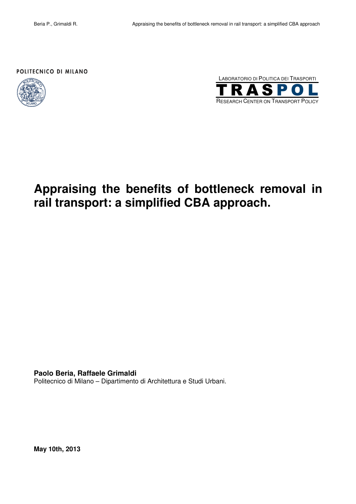### POLITECNICO DI MILANO





# **Appraising the benefits of bottleneck removal in rail transport: a simplified CBA approach.**

**Paolo Beria, Raffaele Grimaldi** 

Politecnico di Milano – Dipartimento di Architettura e Studi Urbani.

**May 10th, 2013**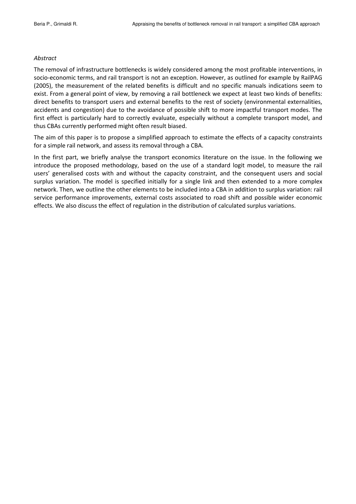#### Abstract

The removal of infrastructure bottlenecks is widely considered among the most profitable interventions, in socio-economic terms, and rail transport is not an exception. However, as outlined for example by RailPAG (2005), the measurement of the related benefits is difficult and no specific manuals indications seem to exist. From a general point of view, by removing a rail bottleneck we expect at least two kinds of benefits: direct benefits to transport users and external benefits to the rest of society (environmental externalities, accidents and congestion) due to the avoidance of possible shift to more impactful transport modes. The first effect is particularly hard to correctly evaluate, especially without a complete transport model, and thus CBAs currently performed might often result biased.

The aim of this paper is to propose a simplified approach to estimate the effects of a capacity constraints for a simple rail network, and assess its removal through a CBA.

In the first part, we briefly analyse the transport economics literature on the issue. In the following we introduce the proposed methodology, based on the use of a standard logit model, to measure the rail users' generalised costs with and without the capacity constraint, and the consequent users and social surplus variation. The model is specified initially for a single link and then extended to a more complex network. Then, we outline the other elements to be included into a CBA in addition to surplus variation: rail service performance improvements, external costs associated to road shift and possible wider economic effects. We also discuss the effect of regulation in the distribution of calculated surplus variations.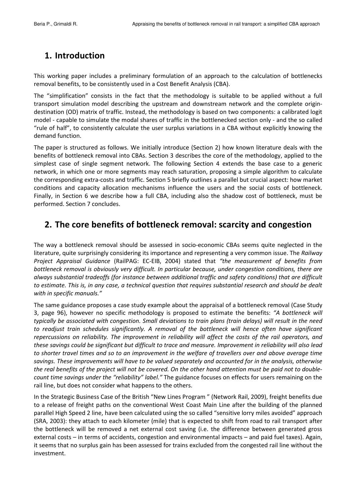## 1. Introduction

This working paper includes a preliminary formulation of an approach to the calculation of bottlenecks removal benefits, to be consistently used in a Cost Benefit Analysis (CBA).

The "simplification" consists in the fact that the methodology is suitable to be applied without a full transport simulation model describing the upstream and downstream network and the complete origindestination (OD) matrix of traffic. Instead, the methodology is based on two components: a calibrated logit model - capable to simulate the modal shares of traffic in the bottlenecked section only - and the so called "rule of half", to consistently calculate the user surplus variations in a CBA without explicitly knowing the demand function.

The paper is structured as follows. We initially introduce (Section 2) how known literature deals with the benefits of bottleneck removal into CBAs. Section 3 describes the core of the methodology, applied to the simplest case of single segment network. The following Section 4 extends the base case to a generic network, in which one or more segments may reach saturation, proposing a simple algorithm to calculate the corresponding extra-costs and traffic. Section 5 briefly outlines a parallel but crucial aspect: how market conditions and capacity allocation mechanisms influence the users and the social costs of bottleneck. Finally, in Section 6 we describe how a full CBA, including also the shadow cost of bottleneck, must be performed. Section 7 concludes.

# 2. The core benefits of bottleneck removal: scarcity and congestion

The way a bottleneck removal should be assessed in socio-economic CBAs seems quite neglected in the literature, quite surprisingly considering its importance and representing a very common issue. The Railway Project Appraisal Guidance (RailPAG: EC-EIB, 2004) stated that "the measurement of benefits from bottleneck removal is obviously very difficult. In particular because, under congestion conditions, there are always substantial tradeoffs (for instance between additional traffic and safety conditions) that are difficult to estimate. This is, in any case, a technical question that requires substantial research and should be dealt with in specific manuals."

The same guidance proposes a case study example about the appraisal of a bottleneck removal (Case Study 3, page 96), however no specific methodology is proposed to estimate the benefits: "A bottleneck will typically be associated with congestion. Small deviations to train plans (train delays) will result in the need to readjust train schedules significantly. A removal of the bottleneck will hence often have significant repercussions on reliability. The improvement in reliability will affect the costs of the rail operators, and these savings could be significant but difficult to trace and measure. Improvement in reliability will also lead to shorter travel times and so to an improvement in the welfare of travellers over and above average time savings. These improvements will have to be valued separately and accounted for in the analysis, otherwise the real benefits of the project will not be covered. On the other hand attention must be paid not to doublecount time savings under the "reliability" label." The guidance focuses on effects for users remaining on the rail line, but does not consider what happens to the others.

In the Strategic Business Case of the British "New Lines Program" (Network Rail, 2009), freight benefits due to a release of freight paths on the conventional West Coast Main Line after the building of the planned parallel High Speed 2 line, have been calculated using the so called "sensitive lorry miles avoided" approach (SRA, 2003): they attach to each kilometer (mile) that is expected to shift from road to rail transport after the bottleneck will be removed a net external cost saving (i.e. the difference between generated gross external costs - in terms of accidents, congestion and environmental impacts - and paid fuel taxes). Again, it seems that no surplus gain has been assessed for trains excluded from the congested rail line without the investment.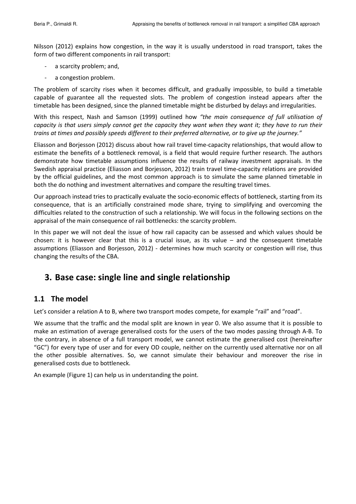Nilsson (2012) explains how congestion, in the way it is usually understood in road transport, takes the form of two different components in rail transport:

- a scarcity problem; and,
- $\sim$ a congestion problem.

The problem of scarcity rises when it becomes difficult, and gradually impossible, to build a timetable capable of guarantee all the requested slots. The problem of congestion instead appears after the timetable has been designed, since the planned timetable might be disturbed by delays and irregularities.

With this respect, Nash and Samson (1999) outlined how "the main consequence of full utilisation of capacity is that users simply cannot get the capacity they want when they want it; they have to run their trains at times and possibly speeds different to their preferred alternative, or to give up the journey."

Eliasson and Borjesson (2012) discuss about how rail travel time-capacity relationships, that would allow to estimate the benefits of a bottleneck removal, is a field that would require further research. The authors demonstrate how timetable assumptions influence the results of railway investment appraisals. In the Swedish appraisal practice (Eliasson and Borjesson, 2012) train travel time-capacity relations are provided by the official guidelines, and the most common approach is to simulate the same planned timetable in both the do nothing and investment alternatives and compare the resulting travel times.

Our approach instead tries to practically evaluate the socio-economic effects of bottleneck, starting from its consequence, that is an artificially constrained mode share, trying to simplifying and overcoming the difficulties related to the construction of such a relationship. We will focus in the following sections on the appraisal of the main consequence of rail bottlenecks: the scarcity problem.

In this paper we will not deal the issue of how rail capacity can be assessed and which values should be chosen: it is however clear that this is a crucial issue, as its value  $-$  and the consequent timetable assumptions (Eliasson and Borjesson, 2012) - determines how much scarcity or congestion will rise, thus changing the results of the CBA.

## 3. Base case: single line and single relationship

### 1.1 The model

Let's consider a relation A to B, where two transport modes compete, for example "rail" and "road".

We assume that the traffic and the modal split are known in year 0. We also assume that it is possible to make an estimation of average generalised costs for the users of the two modes passing through A-B. To the contrary, in absence of a full transport model, we cannot estimate the generalised cost (hereinafter "GC") for every type of user and for every OD couple, neither on the currently used alternative nor on all the other possible alternatives. So, we cannot simulate their behaviour and moreover the rise in generalised costs due to bottleneck.

An example (Figure 1) can help us in understanding the point.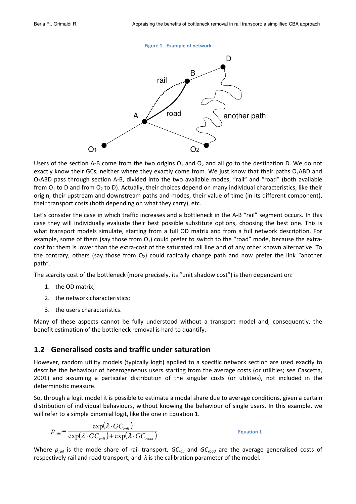#### **Figure 1 - Example of network**



Users of the section A-B come from the two origins  $O_1$  and  $O_2$  and all go to the destination D. We do not exactly know their GCs, neither where they exactly come from. We just know that their paths O<sub>1</sub>ABD and O<sub>2</sub>ABD pass through section A-B, divided into the two available modes, "rail" and "road" (both available from  $O_1$  to D and from  $O_2$  to D). Actually, their choices depend on many individual characteristics, like their origin, their upstream and downstream paths and modes, their value of time (in its different component), their transport costs (both depending on what they carry), etc.

Let's consider the case in which traffic increases and a bottleneck in the A-B "rail" segment occurs. In this case they will individually evaluate their best possible substitute options, choosing the best one. This is what transport models simulate, starting from a full OD matrix and from a full network description. For example, some of them (say those from  $O_1$ ) could prefer to switch to the "road" mode, because the extracost for them is lower than the extra-cost of the saturated rail line and of any other known alternative. To the contrary, others (say those from  $O_2$ ) could radically change path and now prefer the link "another path".

The scarcity cost of the bottleneck (more precisely, its "unit shadow cost") is then dependant on:

- 1. the OD matrix:
- 2. the network characteristics;
- 3. the users characteristics.

Many of these aspects cannot be fully understood without a transport model and, consequently, the benefit estimation of the bottleneck removal is hard to quantify.

### 1.2 Generalised costs and traffic under saturation

However, random utility models (typically logit) applied to a specific network section are used exactly to describe the behaviour of heterogeneous users starting from the average costs (or utilities; see Cascetta, 2001) and assuming a particular distribution of the singular costs (or utilities), not included in the deterministic measure.

So, through a logit model it is possible to estimate a modal share due to average conditions, given a certain distribution of individual behaviours, without knowing the behaviour of single users. In this example, we will refer to a simple binomial logit, like the one in Equation 1.

$$
p_{\text{real}} = \frac{\exp(\lambda \cdot GC_{\text{real}})}{\exp(\lambda \cdot GC_{\text{real}}) + \exp(\lambda \cdot GC_{\text{road}})}
$$

**Equation 1** 

Where  $p_{\text{rad}}$  is the mode share of rail transport, GC<sub>rail</sub> and GC<sub>raad</sub> are the average generalised costs of respectively rail and road transport, and  $\lambda$  is the calibration parameter of the model.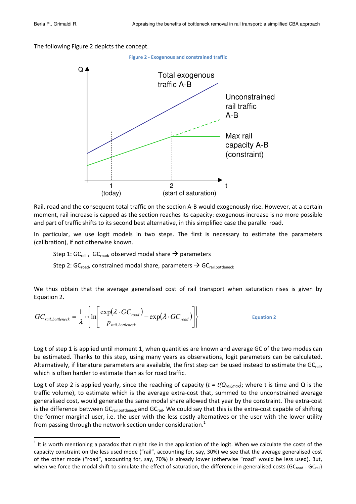The following Figure 2 depicts the concept.



Rail, road and the consequent total traffic on the section A-B would exogenously rise. However, at a certain moment, rail increase is capped as the section reaches its capacity: exogenous increase is no more possible and part of traffic shifts to its second best alternative, in this simplified case the parallel road.

In particular, we use logit models in two steps. The first is necessary to estimate the parameters (calibration), if not otherwise known.

Step 1: GC<sub>rail</sub>, GC<sub>road</sub>, observed modal share  $\rightarrow$  parameters

Step 2: GC<sub>road</sub>, constrained modal share, parameters  $\rightarrow$  GC<sub>rail,bottleneck</sub>

We thus obtain that the average generalised cost of rail transport when saturation rises is given by Equation 2.

$$
GC_{\text{real},\text{bottlence}} = \frac{1}{\lambda} \cdot \left\{ \ln \left[ \frac{\exp(\lambda \cdot GC_{\text{road}})}{p_{\text{real},\text{bottlence}}} - \exp(\lambda \cdot GC_{\text{road}}) \right] \right\}
$$
 Equation 2

Logit of step 1 is applied until moment 1, when quantities are known and average GC of the two modes can be estimated. Thanks to this step, using many years as observations, logit parameters can be calculated. Alternatively, if literature parameters are available, the first step can be used instead to estimate the GC<sub>rail</sub>, which is often harder to estimate than as for road traffic.

Logit of step 2 is applied yearly, since the reaching of capacity ( $t = t(Q_{rail,max})$ ; where t is time and Q is the traffic volume), to estimate which is the average extra-cost that, summed to the unconstrained average generalised cost, would generate the same modal share allowed that year by the constraint. The extra-cost is the difference between GC $_{\rm rail, bottleneck}$  and GC $_{\rm rail}$ . We could say that this is the extra-cost capable of shifting the former marginal user, i.e. the user with the less costly alternatives or the user with the lower utility from passing through the network section under consideration.<sup>1</sup>

<sup>&</sup>lt;sup>1</sup> It is worth mentioning a paradox that might rise in the application of the logit. When we calculate the costs of the capacity constraint on the less used mode ("rail", accounting for, say, 30%) we see that the average generalised cost of the other mode ("road", accounting for, say, 70%) is already lower (otherwise "road" would be less used). But, when we force the modal shift to simulate the effect of saturation, the difference in generalised costs (GC<sub>road</sub> - GC<sub>rail</sub>)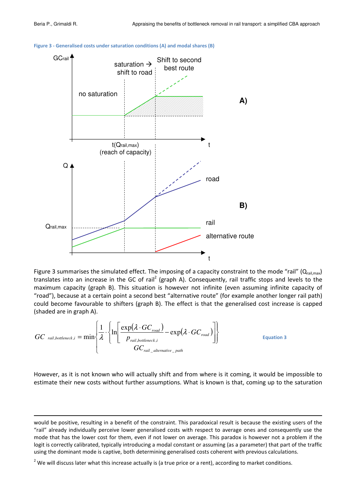



Figure 3 summarises the simulated effect. The imposing of a capacity constraint to the mode "rail" (Q<sub>rail,max</sub>) translates into an increase in the GC of rail<sup>2</sup> (graph A). Consequently, rail traffic stops and levels to the maximum capacity (graph B). This situation is however not infinite (even assuming infinite capacity of "road"), because at a certain point a second best "alternative route" (for example another longer rail path) could become favourable to shifters (graph B). The effect is that the generalised cost increase is capped (shaded are in graph A).

$$
GC_{\text{real},\text{bottleneck},i} = \min \left\{ \frac{1}{\lambda} \cdot \left\{ \ln \left[ \frac{\exp(\lambda \cdot GC_{\text{road}})}{P_{\text{real},\text{bottleneck},i}} - \exp(\lambda \cdot GC_{\text{road}}) \right] \right\}
$$
 Equation 3

However, as it is not known who will actually shift and from where is it coming, it would be impossible to estimate their new costs without further assumptions. What is known is that, coming up to the saturation

<u> 1989 - Andrea Santa Alemania, amerikana amerikana amerikana amerikana amerikana amerikana amerikana amerikan</u>

would be positive, resulting in a benefit of the constraint. This paradoxical result is because the existing users of the "rail" already individually perceive lower generalised costs with respect to average ones and consequently use the mode that has the lower cost for them, even if not lower on average. This paradox is however not a problem if the logit is correctly calibrated, typically introducing a modal constant or assuming (as a parameter) that part of the traffic using the dominant mode is captive, both determining generalised costs coherent with previous calculations.

 $^2$  We will discuss later what this increase actually is (a true price or a rent), according to market conditions.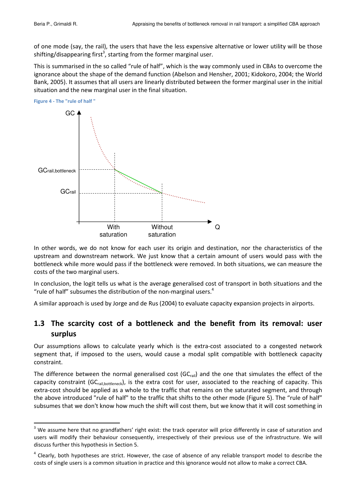of one mode (say, the rail), the users that have the less expensive alternative or lower utility will be those shifting/disappearing first<sup>3</sup>, starting from the former marginal user.

This is summarised in the so called "rule of half", which is the way commonly used in CBAs to overcome the ignorance about the shape of the demand function (Abelson and Hensher, 2001; Kidokoro, 2004; the World Bank, 2005). It assumes that all users are linearly distributed between the former marginal user in the initial situation and the new marginal user in the final situation.



In other words, we do not know for each user its origin and destination, nor the characteristics of the upstream and downstream network. We just know that a certain amount of users would pass with the bottleneck while more would pass if the bottleneck were removed. In both situations, we can measure the costs of the two marginal users.

In conclusion, the logit tells us what is the average generalised cost of transport in both situations and the "rule of half" subsumes the distribution of the non-marginal users.<sup>4</sup>

A similar approach is used by Jorge and de Rus (2004) to evaluate capacity expansion projects in airports.

### 1.3 The scarcity cost of a bottleneck and the benefit from its removal: user surplus

Our assumptions allows to calculate yearly which is the extra-cost associated to a congested network segment that, if imposed to the users, would cause a modal split compatible with bottleneck capacity constraint.

The difference between the normal generalised cost ( $GC<sub>tail</sub>$ ) and the one that simulates the effect of the capacity constraint (GC<sub>rail,bottleneck</sub>), is the extra cost for user, associated to the reaching of capacity. This extra-cost should be applied as a whole to the traffic that remains on the saturated segment, and through the above introduced "rule of half" to the traffic that shifts to the other mode (Figure 5). The "rule of half" subsumes that we don't know how much the shift will cost them, but we know that it will cost something in

<sup>&</sup>lt;sup>3</sup> We assume here that no grandfathers' right exist: the track operator will price differently in case of saturation and users will modify their behaviour consequently, irrespectively of their previous use of the infrastructure. We will discuss further this hypothesis in Section 5.

<sup>&</sup>lt;sup>4</sup> Clearly, both hypotheses are strict. However, the case of absence of any reliable transport model to describe the costs of single users is a common situation in practice and this ignorance would not allow to make a correct CBA.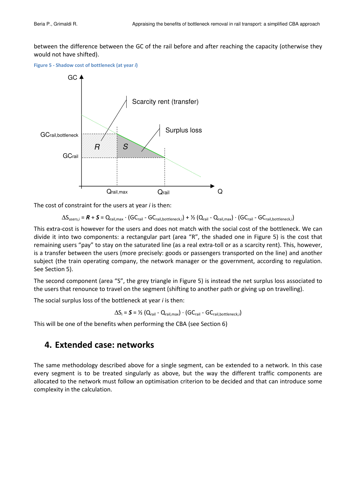between the difference between the GC of the rail before and after reaching the capacity (otherwise they would not have shifted).

Figure 5 - Shadow cost of bottleneck (at year i)



The cost of constraint for the users at year  $i$  is then:

$$
\Delta S_{users,i} = \boldsymbol{R} + \boldsymbol{S} = Q_{\text{tail},\text{max}} \cdot (GC_{\text{tail}} - GC_{\text{tail},\text{bottleneck},i}) + \frac{\gamma_2}{Q_{\text{tail}} - Q_{\text{tail},\text{max}}} \cdot (GC_{\text{tail}} - GC_{\text{tail},\text{bottleneck},i})
$$

This extra-cost is however for the users and does not match with the social cost of the bottleneck. We can divide it into two components: a rectangular part (area "R", the shaded one in Figure 5) is the cost that remaining users "pay" to stay on the saturated line (as a real extra-toll or as a scarcity rent). This, however, is a transfer between the users (more precisely: goods or passengers transported on the line) and another subject (the train operating company, the network manager or the government, according to regulation. See Section 5).

The second component (area "S", the grey triangle in Figure 5) is instead the net surplus loss associated to the users that renounce to travel on the segment (shifting to another path or giving up on travelling).

The social surplus loss of the bottleneck at year  $i$  is then:

$$
\Delta S_i = \mathbf{S} = \mathcal{V}_2 \left( Q_{\text{tail}} - Q_{\text{tail},\text{max}} \right) \cdot \left( \text{GC}_{\text{tail}} - \text{GC}_{\text{tail},\text{bottleneck},i} \right)
$$

This will be one of the benefits when performing the CBA (see Section 6)

### 4. Extended case: networks

The same methodology described above for a single segment, can be extended to a network. In this case every segment is to be treated singularly as above, but the way the different traffic components are allocated to the network must follow an optimisation criterion to be decided and that can introduce some complexity in the calculation.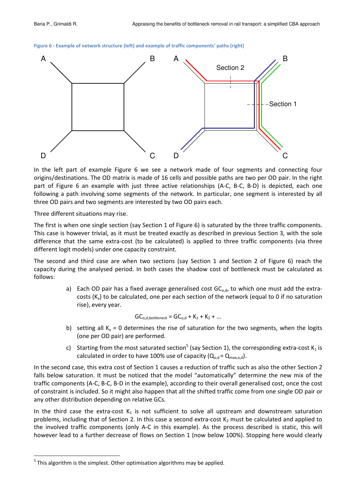



In the left part of example Figure 6 we see a network made of four segments and connecting four origins/destinations. The OD matrix is made of 16 cells and possible paths are two per OD pair. In the right part of Figure 6 an example with just three active relationships (A-C, B-C, B-D) is depicted, each one following a path involving some segments of the network. In particular, one segment is interested by all three OD pairs and two segments are interested by two OD pairs each.

Three different situations may rise.

The first is when one single section (say Section 1 of Figure 6) is saturated by the three traffic components. This case is however trivial, as it must be treated exactly as described in previous Section 3, with the sole difference that the same extra-cost (to be calculated) is applied to three traffic components (via three different logit models) under one capacity constraint.

The second and third case are when two sections (say Section 1 and Section 2 of Figure 6) reach the capacity during the analysed period. In both cases the shadow cost of bottleneck must be calculated as follows:

> a) Each OD pair has a fixed average generalised cost  $GC_{o,d}$ , to which one must add the extracosts  $(K_x)$  to be calculated, one per each section of the network (equal to 0 if no saturation rise), every year.

> > $GC_{o,d,bottleneck} = GC_{o,d} + K_1 + K_2 + ...$

- b) setting all  $K_x = 0$  determines the rise of saturation for the two segments, when the logits (one per OD pair) are performed.
- c) Starting from the most saturated section<sup>5</sup> (say Section 1), the corresponding extra-cost  $K_1$  is calculated in order to have 100% use of capacity ( $Q_{o,d} = Q_{max.o.d}$ ).

In the second case, this extra cost of Section 1 causes a reduction of traffic such as also the other Section 2 falls below saturation. It must be noticed that the model "automatically" determine the new mix of the traffic components (A-C, B-C, B-D in the example), according to their overall generalised cost, once the cost of constraint is included. So it might also happen that all the shifted traffic come from one single OD pair or any other distribution depending on relative GCs.

In the third case the extra-cost  $K_1$  is not sufficient to solve all upstream and downstream saturation problems, including that of Section 2. In this case a second extra-cost  $K_2$  must be calculated and applied to the involved traffic components (only A-C in this example). As the process described is static, this will however lead to a further decrease of flows on Section 1 (now below 100%). Stopping here would clearly

 $5$  This algorithm is the simplest. Other optimisation algorithms may be applied.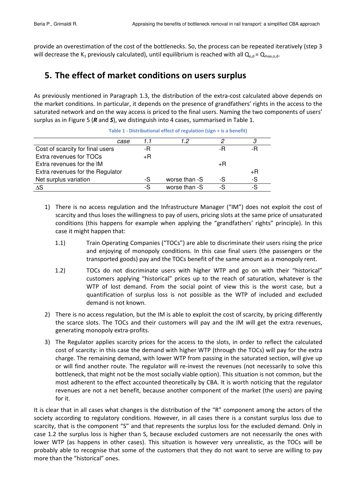provide an overestimation of the cost of the bottlenecks. So, the process can be repeated iteratively (step 3 will decrease the K<sub>1</sub> previously calculated), until equilibrium is reached with all  $Q_{o,d}$  =  $Q_{\text{max},o,d}$ .

## 5. The effect of market conditions on users surplus

As previously mentioned in Paragraph 1.3, the distribution of the extra-cost calculated above depends on the market conditions. In particular, it depends on the presence of grandfathers' rights in the access to the saturated network and on the way access is priced to the final users. Naming the two components of users' surplus as in Figure 5 ( $R$  and  $S$ ), we distinguish into 4 cases, summarised in Table 1.

| case                             |    | 12            |    |    |
|----------------------------------|----|---------------|----|----|
| Cost of scarcity for final users | -R |               | -R |    |
| Extra revenues for TOCs          | +R |               |    |    |
| Extra revenues for the IM        |    |               | +R |    |
| Extra revenues for the Regulator |    |               |    | +R |
| Net surplus variation            | -S | worse than -S | -S | -S |
| ΔS                               | -S | worse than -S | -S |    |

Table 1 - Distributional effect of regulation (sign + is a benefit)

- 1) There is no access regulation and the Infrastructure Manager ("IM") does not exploit the cost of scarcity and thus loses the willingness to pay of users, pricing slots at the same price of unsaturated conditions (this happens for example when applying the "grandfathers' rights" principle). In this case it might happen that:
	- $1.1)$ rain Operating Companies ("TOCs") are able to discriminate their users rising the price and enjoying of monopoly conditions. In this case final users (the passengers or the transported goods) pay and the TOCs benefit of the same amount as a monopoly rent.
	- $1.2)$ OCs do not discriminate users with higher WTP and go on with their "historical" customers applying "historical" prices up to the reach of saturation, whatever is the WTP of lost demand. From the social point of view this is the worst case, but a quantification of surplus loss is not possible as the WTP of included and excluded demand is not known.
- 2) There is no access regulation, but the IM is able to exploit the cost of scarcity, by pricing differently the scarce slots. The TOCs and their customers will pay and the IM will get the extra revenues, generating monopoly extra-profits.
- 3) The Regulator applies scarcity prices for the access to the slots, in order to reflect the calculated cost of scarcity: in this case the demand with higher WTP (through the TOCs) will pay for the extra charge. The remaining demand, with lower WTP from passing in the saturated section, will give up or will find another route. The regulator will re-invest the revenues (not necessarily to solve this bottleneck, that might not be the most socially viable option). This situation is not common, but the most adherent to the effect accounted theoretically by CBA. It is worth noticing that the regulator revenues are not a net benefit, because another component of the market (the users) are paying for it.

It is clear that in all cases what changes is the distribution of the "R" component among the actors of the society according to regulatory conditions. However, in all cases there is a constant surplus loss due to scarcity, that is the component "S" and that represents the surplus loss for the excluded demand. Only in case 1.2 the surplus loss is higher than S, because excluded customers are not necessarily the ones with lower WTP (as happens in other cases). This situation is however very unrealistic, as the TOCs will be probably able to recognise that some of the customers that they do not want to serve are willing to pay more than the "historical" ones.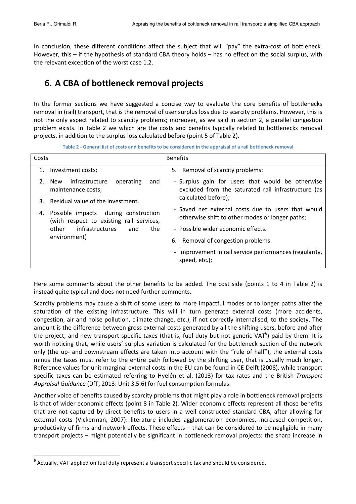In conclusion, these different conditions affect the subject that will "pay" the extra-cost of bottleneck. However, this - if the hypothesis of standard CBA theory holds - has no effect on the social surplus, with the relevant exception of the worst case 1.2.

# 6. A CBA of bottleneck removal projects

In the former sections we have suggested a concise way to evaluate the core benefits of bottlenecks removal in (rail) transport, that is the removal of user surplus loss due to scarcity problems. However, this is not the only aspect related to scarcity problems; moreover, as we said in section 2, a parallel congestion problem exists. In Table 2 we which are the costs and benefits typically related to bottlenecks removal projects, in addition to the surplus loss calculated before (point 5 of Table 2).

Table 2 - General list of costs and benefits to be considered in the appraisal of a rail bottleneck removal

| Costs                                                         |                                                                                  | <b>Benefits</b>                                                                                                                |  |
|---------------------------------------------------------------|----------------------------------------------------------------------------------|--------------------------------------------------------------------------------------------------------------------------------|--|
| 1.                                                            | Investment costs;                                                                | 5. Removal of scarcity problems:                                                                                               |  |
| $2_{-}$                                                       | infrastructure<br>operating<br>and<br>New<br>maintenance costs;                  | - Surplus gain for users that would be otherwise<br>excluded from the saturated rail infrastructure (as<br>calculated before); |  |
| 3.                                                            | Residual value of the investment.                                                |                                                                                                                                |  |
| 4.                                                            | Possible impacts during construction<br>(with respect to existing rail services, | - Saved net external costs due to users that would<br>otherwise shift to other modes or longer paths;                          |  |
| <i>infrastructures</i><br>other<br>the<br>and<br>environment) | - Possible wider economic effects.                                               |                                                                                                                                |  |
|                                                               | 6. Removal of congestion problems:                                               |                                                                                                                                |  |
|                                                               | - improvement in rail service performances (regularity,<br>speed, etc.);         |                                                                                                                                |  |

Here some comments about the other benefits to be added. The cost side (points 1 to 4 in Table 2) is instead quite typical and does not need further comments.

Scarcity problems may cause a shift of some users to more impactful modes or to longer paths after the saturation of the existing infrastructure. This will in turn generate external costs (more accidents, congestion, air and noise pollution, climate change, etc.), if not correctly internalised, to the society. The amount is the difference between gross external costs generated by all the shifting users, before and after the project, and new transport specific taxes (that is, fuel duty but not generic VAT<sup>o</sup>) paid by them. It is worth noticing that, while users' surplus variation is calculated for the bottleneck section of the network only (the up- and downstream effects are taken into account with the "rule of half"), the external costs minus the taxes must refer to the entire path followed by the shifting user, that is usually much longer. Reference values for unit marginal external costs in the EU can be found in CE Delft (2008), while transport specific taxes can be estimated referring to Hyelén et al. (2013) for tax rates and the British Transport Appraisal Guidance (DfT, 2013: Unit 3.5.6) for fuel consumption formulas.

Another voice of benefits caused by scarcity problems that might play a role in bottleneck removal projects is that of wider economic effects (point 8 in Table 2). Wider economic effects represent all those benefits that are not captured by direct benefits to users in a well constructed standard CBA, after allowing for external costs (Vickerman, 2007): literature includes agglomeration economies, increased competition, productivity of firms and network effects. These effects - that can be considered to be negligible in many transport projects – might potentially be significant in bottleneck removal projects: the sharp increase in

 $6$  Actually, VAT applied on fuel duty represent a transport specific tax and should be considered.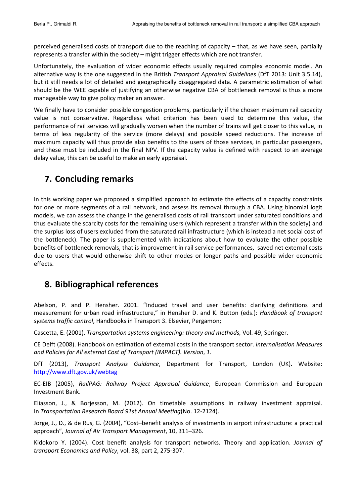perceived generalised costs of transport due to the reaching of capacity – that, as we have seen, partially represents a transfer within the society - might trigger effects which are not transfer.

Unfortunately, the evaluation of wider economic effects usually required complex economic model. An alternative way is the one suggested in the British Transport Appraisal Guidelines (DfT 2013: Unit 3.5.14), but it still needs a lot of detailed and geographically disaggregated data. A parametric estimation of what should be the WEE capable of justifying an otherwise negative CBA of bottleneck removal is thus a more manageable way to give policy maker an answer.

We finally have to consider possible congestion problems, particularly if the chosen maximum rail capacity value is not conservative. Regardless what criterion has been used to determine this value, the performance of rail services will gradually worsen when the number of trains will get closer to this value, in terms of less regularity of the service (more delays) and possible speed reductions. The increase of maximum capacity will thus provide also benefits to the users of those services, in particular passengers, and these must be included in the final NPV. If the capacity value is defined with respect to an average delay value, this can be useful to make an early appraisal.

# 7. Concluding remarks

In this working paper we proposed a simplified approach to estimate the effects of a capacity constraints for one or more segments of a rail network, and assess its removal through a CBA. Using binomial logit models, we can assess the change in the generalised costs of rail transport under saturated conditions and thus evaluate the scarcity costs for the remaining users (which represent a transfer within the society) and the surplus loss of users excluded from the saturated rail infrastructure (which is instead a net social cost of the bottleneck). The paper is supplemented with indications about how to evaluate the other possible benefits of bottleneck removals, that is improvement in rail service performances, saved net external costs due to users that would otherwise shift to other modes or longer paths and possible wider economic effects.

## 8. Bibliographical references

Abelson, P. and P. Hensher, 2001. "Induced travel and user benefits: clarifying definitions and measurement for urban road infrastructure," in Hensher D. and K. Button (eds.): Handbook of transport systems traffic control, Handbooks in Transport 3. Elsevier, Pergamon;

Cascetta, E. (2001). Transportation systems engineering: theory and methods, Vol. 49, Springer.

CE Delft (2008). Handbook on estimation of external costs in the transport sector. Internalisation Measures and Policies for All external Cost of Transport (IMPACT). Version, 1.

DfT (2013), Transport Analysis Guidance, Department for Transport, London (UK). Website: http://www.dft.gov.uk/webtag

EC-EIB (2005), RailPAG: Railway Project Appraisal Guidance, European Commission and European Investment Bank.

Eliasson, J., & Borjesson, M. (2012). On timetable assumptions in railway investment appraisal. In Transportation Research Board 91st Annual Meeting(No. 12-2124).

Jorge, J., D., & de Rus, G. (2004), "Cost-benefit analysis of investments in airport infrastructure: a practical approach", Journal of Air Transport Management, 10, 311-326.

Kidokoro Y. (2004). Cost benefit analysis for transport networks. Theory and application. Journal of transport Economics and Policy, vol. 38, part 2, 275-307.